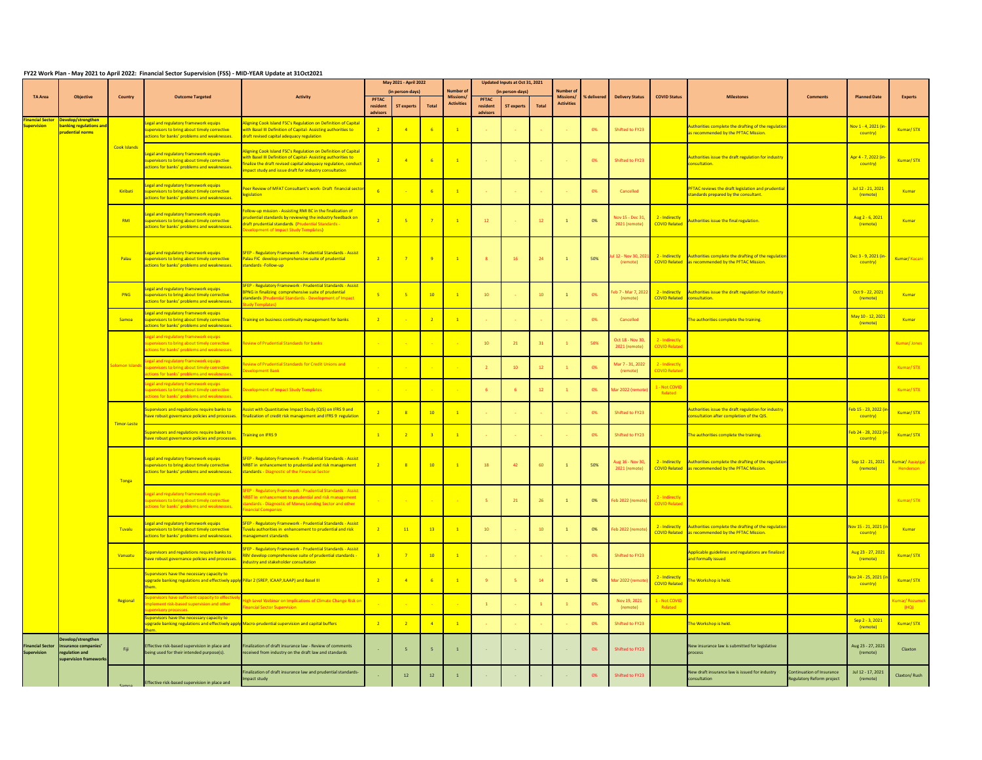## **FY22 Work Plan - May 2021 to April 2022: Financial Sector Supervision (FSS) - MID-YEAR Update at 31Oct2021**

|                                               |                                                                                        |                 |                                                                                                                                                     |                                                                                                                                                                                                                                                             |                   | May 2021 - April 2022<br>(in person-days) |                 | <b>Number of</b>                     |                          | Updated Inputs at Oct 31, 2021<br>(in person-days) |                 | <b>Number of</b>                      |             |                                                                                       |                                                      |                                                                                                                          |                                                       |                                               |                              |
|-----------------------------------------------|----------------------------------------------------------------------------------------|-----------------|-----------------------------------------------------------------------------------------------------------------------------------------------------|-------------------------------------------------------------------------------------------------------------------------------------------------------------------------------------------------------------------------------------------------------------|-------------------|-------------------------------------------|-----------------|--------------------------------------|--------------------------|----------------------------------------------------|-----------------|---------------------------------------|-------------|---------------------------------------------------------------------------------------|------------------------------------------------------|--------------------------------------------------------------------------------------------------------------------------|-------------------------------------------------------|-----------------------------------------------|------------------------------|
| <b>TA Area</b>                                | <b>Objective</b>                                                                       | <b>Country</b>  | <b>Outcome Targeted</b>                                                                                                                             | <b>Activity</b>                                                                                                                                                                                                                                             | PFTAC<br>resident | <b>ST experts</b>                         | <b>Total</b>    | <b>Missions</b><br><b>Activities</b> | <b>PFTAC</b><br>resident | <b>ST experts</b>                                  | <b>Total</b>    | <b>Missions/</b><br><b>Activities</b> | % delivered | <b>Delivery Status</b>                                                                | <b>COVID Status</b>                                  | <b>Milestones</b>                                                                                                        | <b>Comments</b>                                       | <b>Planned Date</b>                           | <b>Experts</b>               |
| inancial Sector                               | Develop/strengthen                                                                     |                 |                                                                                                                                                     | Aligning Cook Island FSC's Regulation on Definition of Capital                                                                                                                                                                                              | advisors          |                                           |                 |                                      | advisors                 |                                                    |                 |                                       |             |                                                                                       |                                                      |                                                                                                                          |                                                       |                                               |                              |
| <mark>upervision</mark>                       | <b>banking regulations and</b><br>prudential norms                                     |                 | Legal and regulatory framework equips<br>supervisors to bring about timely corrective<br>actions for banks' problems and weaknesses.                | with Basel III Definition of Capital-Assisting authorities to<br>draft revised capital adequacy regulation                                                                                                                                                  | $\overline{2}$    |                                           |                 |                                      |                          |                                                    |                 |                                       | 0%          | Shifted to FY23                                                                       |                                                      | Authorities complete the drafting of the regulation<br>as recommended by the PFTAC Mission.                              |                                                       | <mark>Nov 1 - 4, 2021 (ir</mark><br>country)  | Kumar/STX                    |
|                                               |                                                                                        | Cook Islands    | Legal and regulatory framework equips<br>supervisors to bring about timely corrective<br>actions for banks' problems and weaknesses.                | Aligning Cook Island FSC's Regulation on Definition of Capital<br>with Basel III Definition of Capital-Assisting authorities to<br>finalize the draft revised capital adequacy regulation, conduct<br>mpact study and issue draft for industry consultation | $\overline{2}$    |                                           |                 | $\mathbf{1}$                         | <b>Contract</b>          |                                                    |                 |                                       | 0%          | Shifted to FY23                                                                       |                                                      | Authorities issue the draft regulation for industry<br>consultation                                                      |                                                       | Apr 4 - 7, 2022 (ir<br>country)               | Kumar/STX                    |
|                                               |                                                                                        | <u>Kiribati</u> | Legal and regulatory framework equips<br>supervisors to bring about timely corrective<br>actions for banks' problems and weaknesses.                | Peer Review of MFAT Consultant's work- Draft financial sector<br>egislation                                                                                                                                                                                 | $-6$              |                                           |                 |                                      | <b>Contract</b>          |                                                    |                 |                                       | 0%          | Cancelled                                                                             |                                                      | <b>PFTAC reviews the draft legislation and prudential</b><br>standards prepared by the consultant.                       |                                                       | Jul 12 - 21, 2021<br>(remote)                 | Kumar                        |
|                                               |                                                                                        | RMI             | Legal and regulatory framework equips<br>supervisors to bring about timely corrective<br>actions for banks' problems and weaknesses.                | Follow-up mission - Assisting RMI BC in the finalization of<br>prudential standards by reviewing the industry feedback on<br>draft prudential standards (Prudential Standards -<br>evelopment of Impact Study Templates)                                    | $\overline{2}$    |                                           |                 |                                      | 12                       |                                                    | 12              |                                       | 0%          | Nov 15 - Dec 31,<br>2021 (remote)                                                     | 2 - Indirectly<br><b>COVID Related</b>               | Authorities issue the final regulation.                                                                                  |                                                       | Aug 2 - 6, 2021<br>(remote)                   | Kumar                        |
|                                               |                                                                                        | Palau           | Legal and regulatory framework equips<br>supervisors to bring about timely corrective<br>actions for banks' problems and weaknesses.                | SFEP - Regulatory Framework - Prudential Standards - Assist<br>Palau FIC develop comprehensive suite of prudential<br>standards-Follow-up                                                                                                                   | $\overline{2}$    |                                           |                 |                                      | $\mathbf{R}$             | - 16                                               | 24              |                                       | 50%         | 112 - Nov 30, 20<br>(remote)                                                          |                                                      | 2 - Indirectly Authorities complete the drafting of the regulation<br>COVID Related as recommended by the PFTAC Mission. |                                                       | <mark>Dec 3 - 9, 2021 (ir</mark><br>country)  | Kumar/Kacani                 |
|                                               |                                                                                        | PNG             | Legal and regulatory framework equips<br>supervisors to bring about timely corrective<br>actions for banks' problems and weaknesses.                | <b>SFEP - Regulatory Framework - Prudential Standards - Assist</b><br>BPNG in finalizing comprehensive suite of prudential<br>standards (Prudential Standards - Development of Impact<br>udy Templates)                                                     | $-5$              |                                           | 10              |                                      | 10 <sup>°</sup>          |                                                    | 10 <sup>°</sup> |                                       | 0%          | eb 7 - Mar 7, 202<br>(remote)                                                         | 2 - Indirectly<br><b>COVID Related consultation.</b> | Authorities issue the draft regulation for industry                                                                      |                                                       | Oct 9 - 22, 2021<br>(remote)                  | Kumar                        |
|                                               |                                                                                        | <b>Samoa</b>    | Legal and regulatory framework equips<br>supervisors to bring about timely corrective<br>actions for banks' problems and weaknesses.                | raining on business continuity management for banks                                                                                                                                                                                                         | $\frac{2}{2}$     |                                           |                 |                                      |                          |                                                    |                 |                                       | 0%          | Cancelled                                                                             |                                                      | The authorities complete the training.                                                                                   |                                                       | May 10 - 12, 202<br>(remote)                  | Kumar                        |
|                                               |                                                                                        |                 | Legal and regulatory framework equips<br>actions for banks' problems and weaknesses.                                                                | w of Prudential Standards for hanks                                                                                                                                                                                                                         |                   |                                           |                 |                                      | 10                       | 21                                                 | $-31$           |                                       | 50%         | Oct 18 - Nov 30, $\begin{array}{ c c }$ 2 - Indirectly<br>2021 (remote) COVID Related |                                                      |                                                                                                                          |                                                       |                                               |                              |
|                                               |                                                                                        |                 | egal and regulatory framework equips<br>solomon Islands supervisors to bring about timely corrective<br>actions for banks' problems and weaknesses. | eview of Prudential Standards for Credit Unions and<br>Development Bank                                                                                                                                                                                     |                   | <b>Contract</b>                           |                 |                                      | $\overline{2}$           | 10                                                 | 12              |                                       | 0%          | Mar 7 - 31, 2022<br>(remote)                                                          | 2 - Indirectly<br><b>COVID Relate</b>                |                                                                                                                          |                                                       |                                               | Kumar/STX                    |
|                                               |                                                                                        |                 | Legal and regulatory framework equips<br>supervisors to bring about timely corrective<br>actions for banks' problems and weaknesses.                | Development of Impact Study Templates                                                                                                                                                                                                                       |                   |                                           |                 |                                      | -6                       |                                                    | 12              |                                       | 0%          | Mar 2022 (remot                                                                       | 1 - Not COVID<br>Related                             |                                                                                                                          |                                                       |                                               | Kumar/STX                    |
|                                               |                                                                                        | Timor-Leste     | Supervisors and regulations require banks to<br>have robust governance policies and processes.                                                      | ssist with Quantitative Impact Study (QIS) on IFRS 9 and<br>inalization of credit risk management and IFRS 9 regulation                                                                                                                                     | $\overline{2}$    |                                           | 10              |                                      |                          |                                                    |                 |                                       | 0%          | Shifted to FY23                                                                       |                                                      | Authorities issue the draft regulation for industry<br>consultation after completion of the QIS.                         |                                                       | <mark>ieb 15 - 23, 2022 (i</mark><br>country) | Kumar/STX                    |
|                                               |                                                                                        |                 | Supervisors and regulations require banks to<br>have robust governance policies and processes                                                       | raining on IFRS 9                                                                                                                                                                                                                                           | $\overline{1}$    |                                           |                 |                                      | <b>Contract</b>          |                                                    |                 |                                       | 0%          | Shifted to FY23                                                                       |                                                      | The authorities complete the training.                                                                                   |                                                       | <mark>eb 24 - 28, 2022 (i</mark><br>country)  | Kumar/STX                    |
|                                               |                                                                                        | Tonga           | Legal and regulatory framework equips<br>supervisors to bring about timely corrective<br>actions for banks' problems and weaknesses.                | <b>SFEP - Regulatory Framework - Prudential Standards - Assist</b><br>NRBT in enhancement to prudential and risk management<br>standards - Diagnostic of the Financial Sector                                                                               | $\overline{2}$    |                                           | 10 <sup>°</sup> |                                      | 18                       | 42                                                 | 60              |                                       | 50%         | Aug 16 - Nov 30,<br>2021 (remote)                                                     |                                                      | 2 - Indirectly Authorities complete the drafting of the regulation<br>COVID Related as recommended by the PFTAC Mission. |                                                       | Sep 12 - 21, 2021 Kumar/ Awayiga/<br>(remote) | Henderson                    |
|                                               |                                                                                        |                 | Legal and regulatory framework equips<br>supervisors to bring about timely corrective<br>actions for banks' problems and weaknesses.                | <b>SFEP - Regulatory Framework - Prudential Standards - Assist</b><br>VRBT in enhancement to prudential and risk management<br>tandards - Diagnostic of Money Lending Sector and other<br>inancial Companies                                                |                   | <b>Contract Contract</b>                  |                 |                                      | $-5$                     | 21                                                 | 26              |                                       | 0%          | eb 2022 (remote                                                                       | 2 - Indirectly<br><b>COVID Related</b>               |                                                                                                                          |                                                       |                                               | Kumar/STX                    |
|                                               |                                                                                        | <b>Tuvalu</b>   | Legal and regulatory framework equips<br>supervisors to bring about timely corrective<br>actions for banks' problems and weaknesses.                | <b>SFEP - Regulatory Framework - Prudential Standards - Assist</b><br>Fuvalu authorities in enhancement to prudential and risk<br>management standards                                                                                                      | $\overline{2}$    | 11                                        | 13              |                                      | 10 <sup>°</sup>          |                                                    | 10              |                                       | 0%          | eb 2022 (remot                                                                        |                                                      | 2 - Indirectly Authorities complete the drafting of the regulation<br>COVID Related as recommended by the PFTAC Mission. |                                                       | <mark>lov 15 - 21, 2021 (</mark><br>country)  | Kumar                        |
|                                               |                                                                                        | Vanuatu         | upervisors and regulations require banks to<br>ave robust governance policies and processes.                                                        | <b>SFEP - Regulatory Framework - Prudential Standards - Assist</b><br>RBV develop comprehensive suite of prudential standards -<br>dustry and stakeholder consultation                                                                                      | $-3$              |                                           | 10              |                                      |                          |                                                    |                 |                                       | 0%          | Shifted to FY23                                                                       |                                                      | Applicable guidelines and regulations are finalized<br>and formally issued                                               |                                                       | Aug 23 - 27, 2022<br>(remote)                 | Kumar/STX                    |
|                                               |                                                                                        |                 | Supervisors have the necessary capacity to<br>upgrade banking regulations and effectively apply Pillar 2 (SREP, ICAAP,ILAAP) and Basel III<br>them. |                                                                                                                                                                                                                                                             | $\overline{2}$    |                                           |                 |                                      | $\overline{q}$           |                                                    | 14              |                                       | 0%          | Mar 2022 (remot                                                                       | 2 - Indirectly<br><b>COVID Relate</b>                | The Workshop is held.                                                                                                    |                                                       | <mark>lov 24 - 25, 2021 (</mark><br>country)  | Kumar/STX                    |
|                                               |                                                                                        | Regional        | ervisors have sufficient capacity to effective<br>ent risk-based supervision and other<br>ory processes.                                            | igh Level Webinar on Implications of Climate Change Risk on<br>inancial Sector Supervision                                                                                                                                                                  |                   |                                           |                 |                                      |                          |                                                    |                 |                                       | 0%          | Nov 19, 2021<br>(remote)                                                              | - Not COVI <mark>I</mark><br>Related                 |                                                                                                                          |                                                       |                                               | <b>Kumar/Rozumek</b><br>(HQ) |
|                                               |                                                                                        |                 | Supervisors have the necessary capacity to                                                                                                          | upgrade banking regulations and effectively apply Macro-prudential supervision and capital buffers                                                                                                                                                          | $\overline{2}$    |                                           |                 |                                      | <b>Contract</b>          |                                                    |                 |                                       | 0%          | Shifted to FY23                                                                       |                                                      | The Workshop is held.                                                                                                    |                                                       | Sep 2 - 3, 2021<br>(remote)                   | Kumar/STX                    |
| <b>Financial Sector</b><br><b>Supervision</b> | Develop/strengthen<br>insurance companies'<br>regulation and<br>supervision frameworks | Fiji            | Effective risk-based supervision in place and<br>being used for their intended purpose(s).                                                          | Finalization of draft insurance law - Review of comments<br>received from industry on the draft law and standards                                                                                                                                           |                   |                                           |                 |                                      |                          |                                                    |                 |                                       | 0%          | Shifted to FY23                                                                       |                                                      | New insurance law is submitted for legislative<br>process                                                                |                                                       | Aug 23 - 27, 2021<br>(remote)                 | Claxton                      |
|                                               |                                                                                        | Samoa           | Effective risk-based supervision in place and                                                                                                       | -inalization of draft insurance law and prudential standards-<br>Impact study                                                                                                                                                                               |                   | 12                                        | 12              |                                      |                          |                                                    |                 |                                       | 0%          | Shifted to FY23                                                                       |                                                      | New draft insurance law is issued for industry<br>consultation                                                           | Intinuation of Insurance<br>Regulatory Reform project | Jul 12 - 17, 2021<br>(remote)                 | Claxton/Rush                 |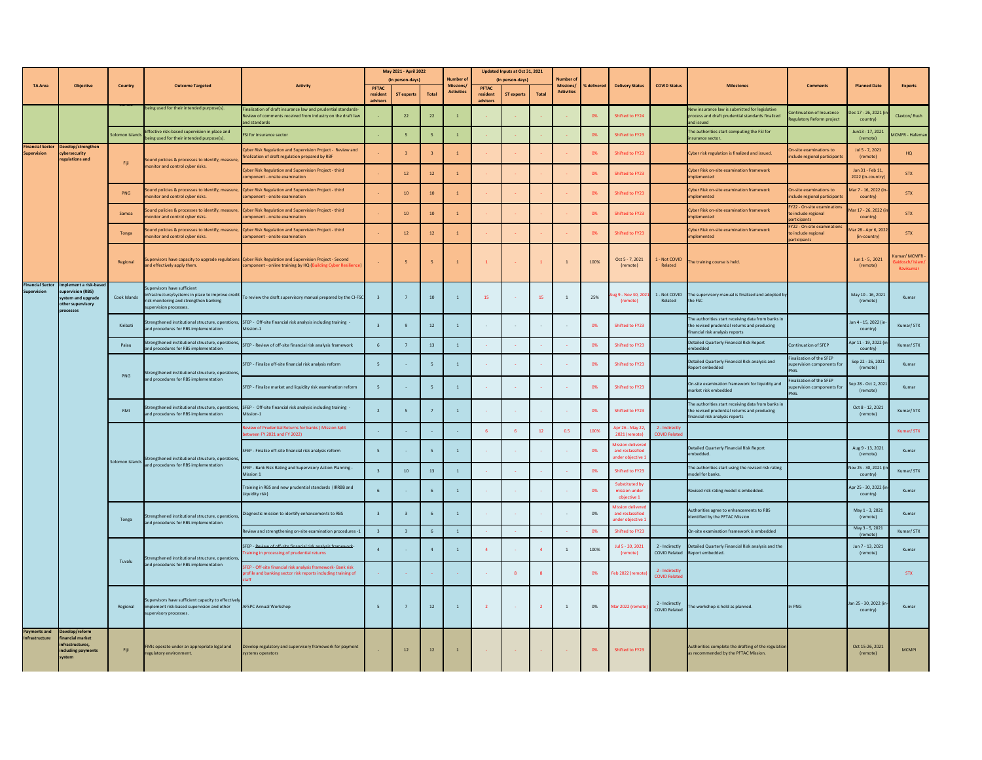|                                               |                                                                                                    |                 |                                                                                                                             |                                                                                                                                                                          | May 2021 - April 2022                |                   |                 |                                | Updated Inputs at Oct 31, 2021       |                   |                 |                                       |             |                                                                   |                                        |                                                                                                                                       |                                                                    |                                                 |                                            |
|-----------------------------------------------|----------------------------------------------------------------------------------------------------|-----------------|-----------------------------------------------------------------------------------------------------------------------------|--------------------------------------------------------------------------------------------------------------------------------------------------------------------------|--------------------------------------|-------------------|-----------------|--------------------------------|--------------------------------------|-------------------|-----------------|---------------------------------------|-------------|-------------------------------------------------------------------|----------------------------------------|---------------------------------------------------------------------------------------------------------------------------------------|--------------------------------------------------------------------|-------------------------------------------------|--------------------------------------------|
|                                               |                                                                                                    |                 |                                                                                                                             |                                                                                                                                                                          |                                      | (in person-days)  |                 | <b>Number of</b>               |                                      | (in person-days)  |                 | <b>Number of</b>                      |             |                                                                   |                                        |                                                                                                                                       |                                                                    |                                                 |                                            |
| <b>TA Area</b>                                | <b>Objective</b>                                                                                   | Country         | <b>Outcome Targeted</b>                                                                                                     | <b>Activity</b>                                                                                                                                                          | <b>PFTAC</b><br>resident<br>advisors | <b>ST experts</b> | <b>Total</b>    | Missions/<br><b>Activities</b> | <b>PFTAC</b><br>resident<br>advisors | <b>ST experts</b> | <b>Total</b>    | <b>Missions/</b><br><b>Activities</b> | % delivered | <b>Delivery Status</b>                                            | <b>COVID Status</b>                    | <b>Milestones</b>                                                                                                                     | <b>Comments</b>                                                    | <b>Planned Date</b>                             | <b>Experts</b>                             |
|                                               |                                                                                                    |                 | being used for their intended purpose(s).                                                                                   | Finalization of draft insurance law and prudential standards-<br>Review of comments received from industry on the draft law<br>and standards                             |                                      | 22                | 22              |                                |                                      |                   |                 |                                       | 0%          | Shifted to FY24                                                   |                                        | New insurance law is submitted for legislative<br>process and draft prudential standards finalized<br>and issued                      | ontinuation of Insurance<br>Regulatory Reform project              | )ec 17 - 26, 2021 <mark>(</mark> iı<br>country) | Claxton/Rush                               |
|                                               |                                                                                                    | Solomon Islands | ffective risk-based supervision in place and<br>being used for their intended purpose(s).                                   | <b>FSI for insurance sector</b>                                                                                                                                          |                                      |                   |                 |                                |                                      |                   |                 |                                       | 0%          | Shifted to FY23                                                   |                                        | The authorities start computing the FSI for<br>insurance sector.                                                                      |                                                                    | Jun13 - 17, 2021<br>(remote)                    | MCMFR - Hafeman                            |
| <b>Financial Sector</b><br><b>Supervision</b> | Develop/strengthen<br>cybersecurity<br>regulations and                                             |                 | Sound policies & processes to identify, measure,                                                                            | Cyber Risk Regulation and Supervision Project - Review and<br>finalization of draft regulation prepared by RBF                                                           |                                      |                   |                 |                                |                                      |                   |                 |                                       | 0%          | Shifted to FY23                                                   |                                        | Cyber risk regulation is finalized and issued.                                                                                        | On-site examinations to<br>include regional participants           | Jul 5 - 7, 2021<br>(remote)                     | HQ                                         |
|                                               |                                                                                                    | Fiji            | monitor and control cyber risks.                                                                                            | Cyber Risk Regulation and Supervision Project - third<br>component - onsite examination                                                                                  |                                      | 12                | 12              |                                |                                      |                   |                 |                                       | 0%          | Shifted to FY23                                                   |                                        | Cyber Risk on-site examination framework<br>implemented                                                                               |                                                                    | Jan 31 - Feb 11,<br>2022 (in-country)           | <b>STX</b>                                 |
|                                               |                                                                                                    | PNG             | monitor and control cyber risks.                                                                                            | Sound policies & processes to identify, measure, Cyber Risk Regulation and Supervision Project - third<br>component - onsite examination                                 |                                      | 10                | 10 <sup>°</sup> |                                |                                      |                   |                 |                                       | 0%          | Shifted to FY23                                                   |                                        | <b>Cyber Risk on-site examination framework</b><br>implemented                                                                        | On-site examinations to<br>include regional participants           | Mar 7 - 16, 2022 (in<br>country)                | <b>STX</b>                                 |
|                                               |                                                                                                    | Samoa           | monitor and control cyber risks.                                                                                            | Sound policies & processes to identify, measure, Cyber Risk Regulation and Supervision Project - third<br>component - onsite examination                                 |                                      | 10                | 10              |                                |                                      |                   |                 |                                       | 0%          | Shifted to FY23                                                   |                                        | <b>Cyber Risk on-site examination framework</b><br>implemented                                                                        | FY22 - On-site examinations<br>to include regional<br>participants | Mar 17 - 26, 2022 (in<br>country)               | <b>STX</b>                                 |
|                                               |                                                                                                    | Tonga           | monitor and control cyber risks.                                                                                            | Sound policies & processes to identify, measure, Cyber Risk Regulation and Supervision Project - third<br>component - onsite examination                                 |                                      | 12                | 12              |                                |                                      |                   |                 |                                       | 0%          | Shifted to FY23                                                   |                                        | Cyber Risk on-site examination framework<br>implemented                                                                               | FY22 - On-site examinations<br>to include regional<br>participants | Mar 28 - Apr 6, 202<br>(in-country)             | <b>STX</b>                                 |
|                                               |                                                                                                    | Regional        | and effectively apply them.                                                                                                 | Supervisors have capacity to upgrade regulations Cyber Risk Regulation and Supervision Project - Second<br>component - online training by HQ (Building Cyber Resilience) |                                      |                   |                 |                                |                                      |                   |                 |                                       | 100%        | Oct 5 - 7, 2021<br>(remote)                                       | - Not COVID<br>Related                 | The training course is held.                                                                                                          |                                                                    | Jun 1 - 5, 2021<br>(remote)                     | Kumar/MCMFR-<br>aidosch/Islam<br>Ravikumar |
| <b>Financial Sector</b><br>Supervision        | mplement a risk-based<br>supervision (RBS)<br>system and upgrade<br>other supervisory<br>processes | Cook Islands    | Supervisors have sufficient<br>risk monitoring and strengthen banking<br>supervision processes.                             | infrastructure/systems in place to improve credit To review the draft supervisory manual prepared by the CI-FSC                                                          |                                      |                   | 10              |                                | 15                                   |                   | 15              |                                       | 25%         | ig 9 - Nov 30, 202<br>(remote)                                    | 1 - Not COVID<br>Related               | The supervisory manual is finalized and adopted by<br>the FSC                                                                         |                                                                    | May 10 - 16, 2021<br>(remote)                   | Kumar                                      |
|                                               |                                                                                                    | Kiribati        | and procedures for RBS implementation                                                                                       | Strengthened institutional structure, operations, SFEP - Off-site financial risk analysis including training<br>Mission-1                                                |                                      |                   | 12              |                                | $\sim$ $-$                           |                   |                 |                                       | 0%          | Shifted to FY23                                                   |                                        | The authorities start receiving data from banks in<br>the revised prudential returns and producing<br>financial risk analysis reports |                                                                    | Jan 4 - 15, 2022 (in<br>country)                | Kumar/STX                                  |
|                                               |                                                                                                    | Palau           | Strengthened institutional structure, operations,<br>and procedures for RBS implementation                                  | SFEP - Review of off-site financial risk analysis framework                                                                                                              |                                      |                   | 13 <sup>7</sup> |                                | $\sim 10^{-1}$                       |                   |                 |                                       | 0%          | Shifted to FY23                                                   |                                        | Detailed Quarterly Financial Risk Report<br>embedded                                                                                  | Continuation of SFEP                                               | Apr 11 - 19, 2022 (ii<br>country)               | Kumar/STX                                  |
|                                               |                                                                                                    | PNG             | Strengthened institutional structure, operations,                                                                           | SFEP - Finalize off-site financial risk analysis reform                                                                                                                  |                                      |                   |                 |                                | <b>College</b>                       |                   |                 |                                       | 0%          | Shifted to FY23                                                   |                                        | Detailed Quarterly Financial Risk analysis and<br>Report embedded                                                                     | Finalization of the SFEP<br>supervision components for             | Sep 22 - 26, 2021<br>(remote)                   | Kumar                                      |
|                                               |                                                                                                    |                 | and procedures for RBS implementation                                                                                       | SFEP - Finalize market and liquidity risk examination reform                                                                                                             |                                      |                   |                 |                                | <b>College</b>                       |                   |                 |                                       | 0%          | Shifted to FY23                                                   |                                        | On-site examination framework for liquidity and<br>market risk embedded                                                               | Finalization of the SFEP<br>upervision components fo               | Sep 28 - Oct 2, 2021<br>(remote)                | Kumar                                      |
|                                               |                                                                                                    | RMI             | and procedures for RBS implementation                                                                                       | Strengthened institutional structure, operations, SFEP - Off-site financial risk analysis including training -<br>Mission-1                                              |                                      |                   |                 |                                | <b>Contract</b>                      |                   |                 |                                       | 0%          | Shifted to FY23                                                   |                                        | The authorities start receiving data from banks in<br>the revised prudential returns and producing<br>financial risk analysis reports |                                                                    | Oct 8 - 12, 2021<br>(remote)                    | Kumar/STX                                  |
|                                               |                                                                                                    |                 |                                                                                                                             | eview of Prudential Returns for banks ( Mission Split<br>between FY 2021 and FY 2022)                                                                                    |                                      |                   |                 |                                | -6                                   |                   | 12 <sup>2</sup> | 0.5                                   | 100%        | Apr 26 - May 22<br>2021 (remote)                                  | 2 - Indirectly<br><b>COVID Related</b> |                                                                                                                                       |                                                                    |                                                 | Kumar/STX                                  |
|                                               |                                                                                                    |                 | Solomon Islands Strengthened institutional structure, operations,                                                           | SFEP - Finalize off-site financial risk analysis reform                                                                                                                  |                                      |                   |                 |                                | <b>Contract</b>                      |                   |                 |                                       | 0%          | <b>Mission delivered</b><br>and reclassified<br>under objective : |                                        | Detailed Quarterly Financial Risk Report<br>embedded.                                                                                 |                                                                    | Aug 9 - 13, 2021<br>(remote)                    | Kumar                                      |
|                                               |                                                                                                    |                 | and procedures for RBS implementation                                                                                       | SFEP - Bank Risk Rating and Supervisory Action Planning -<br><b>Mission 1</b>                                                                                            |                                      | 10                | 13              |                                | $\sim 10^{-1}$                       |                   |                 |                                       | 0%          | Shifted to FY23                                                   |                                        | The authorities start using the revised risk rating<br>model for banks.                                                               |                                                                    | Nov 25 - 30, 2021 (i<br>country)                | Kumar/STX                                  |
|                                               |                                                                                                    |                 |                                                                                                                             | Training in RBS and new prudential standards (IRRBB and<br>Liquidity risk)                                                                                               |                                      |                   |                 |                                |                                      |                   |                 |                                       | 0%          | Substituted by<br>mission under<br>objective 1                    |                                        | Revised risk rating model is embedded.                                                                                                |                                                                    | Apr 25 - 30, 2022 (i<br>country)                | Kumar                                      |
|                                               |                                                                                                    | Tonga           | Strengthened institutional structure, operations,<br>and procedures for RBS implementation                                  | Diagnostic mission to identify enhancements to RBS                                                                                                                       |                                      |                   |                 |                                | <b>Contract</b>                      |                   |                 |                                       | 0%          | <b>Mission delivere</b><br>and reclassified<br>under objective 1  |                                        | Authorities agree to enhancements to RBS<br>identified by the PFTAC Mission                                                           |                                                                    | May 1 - 3, 2021<br>(remote)                     | Kumar                                      |
|                                               |                                                                                                    |                 |                                                                                                                             | Review and strengthening on-site examination procedures -1                                                                                                               |                                      |                   |                 |                                | $\sim 10^{-1}$                       |                   |                 |                                       | 0%          | Shifted to FY23                                                   |                                        | On-site examination framework is embedded                                                                                             |                                                                    | May 3 - 5, 2021<br>(remote)                     | Kumar/STX                                  |
|                                               |                                                                                                    |                 |                                                                                                                             | SFEP - Review of off-site financial risk analysis framework-<br>Training in processing of prudential returns                                                             |                                      |                   |                 |                                | $\overline{4}$                       |                   |                 |                                       | 100%        | Jul 5 - 20, 2021<br>(remote)                                      | 2 - Indirectly                         | Detailed Quarterly Financial Risk analysis and the<br>COVID Related Report embedded.                                                  |                                                                    | Jun 7 - 13, 2021<br>(remote)                    | Kumar                                      |
|                                               |                                                                                                    | Tuvalu          | Strengthened institutional structure, operations,<br>and procedures for RBS implementation                                  | SFEP - Off-site financial risk analysis framework- Bank risk<br>profile and banking sector risk reports including training of<br>staff                                   | $\sim 10^{-1}$                       |                   |                 |                                | $\sim$ $-$                           |                   |                 |                                       | 0%          | Feb 2022 (remote                                                  | 2 - Indirectly<br><b>COVID Related</b> |                                                                                                                                       |                                                                    |                                                 | <b>STX</b>                                 |
|                                               |                                                                                                    | Regional        | Supervisors have sufficient capacity to effectively<br>implement risk-based supervision and other<br>supervisory processes. | <b>AFSPC Annual Workshop</b>                                                                                                                                             |                                      |                   | 12              |                                |                                      |                   |                 |                                       | 0%          | Mar 2022 (remote                                                  | 2 - Indirectly<br>COVID Related        | The workshop is held as planned.                                                                                                      | In PNG                                                             | Jan 25 - 30, 2022 (in-<br>country)              | Kumar                                      |
| <b>Payments and</b><br>Infrastructure         | Develop/reform<br>financial market<br>infrastructures,<br>including payments<br>system             | Fiji            | FMIs operate under an appropriate legal and<br>regulatory environment.                                                      | Develop regulatory and supervisory framework for payment<br>systems operators                                                                                            |                                      | 12                | 12              |                                | <b>Common</b>                        | <b>Contract</b>   |                 | <b>Contract</b>                       | 0%          | Shifted to FY23                                                   |                                        | Authorities complete the drafting of the regulation<br>as recommended by the PFTAC Mission.                                           |                                                                    | Oct 15-26, 2021<br>(remote)                     | <b>MCMPI</b>                               |